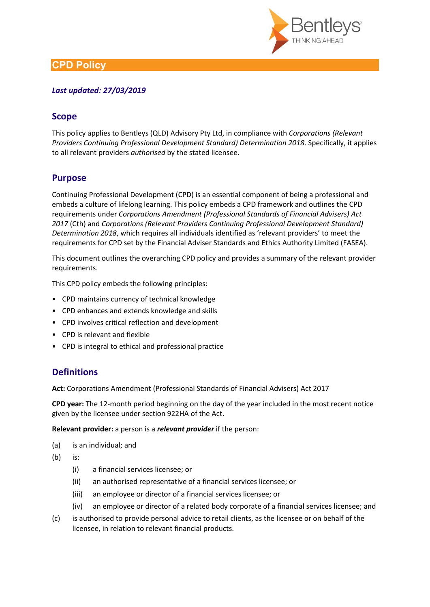

# **CPD Policy**

### *Last updated: 27/03/2019*

## **Scope**

This policy applies to Bentleys (QLD) Advisory Pty Ltd, in compliance with *Corporations (Relevant Providers Continuing Professional Development Standard) Determination 2018*. Specifically, it applies to all relevant providers *authorised* by the stated licensee.

# **Purpose**

Continuing Professional Development (CPD) is an essential component of being a professional and embeds a culture of lifelong learning. This policy embeds a CPD framework and outlines the CPD requirements under *Corporations Amendment (Professional Standards of Financial Advisers) Act 2017* (Cth) and *Corporations (Relevant Providers Continuing Professional Development Standard) Determination 2018*, which requires all individuals identified as 'relevant providers' to meet the requirements for CPD set by the Financial Adviser Standards and Ethics Authority Limited (FASEA).

This document outlines the overarching CPD policy and provides a summary of the relevant provider requirements.

This CPD policy embeds the following principles:

- CPD maintains currency of technical knowledge
- CPD enhances and extends knowledge and skills
- CPD involves critical reflection and development
- CPD is relevant and flexible
- CPD is integral to ethical and professional practice

# **Definitions**

**Act:** Corporations Amendment (Professional Standards of Financial Advisers) Act 2017

**CPD year:** The 12-month period beginning on the day of the year included in the most recent notice given by the licensee under section 922HA of the Act.

**Relevant provider:** a person is a *relevant provider* if the person:

- (a) is an individual; and
- (b) is:
	- (i) a financial services licensee; or
	- (ii) an authorised representative of a financial services licensee; or
	- (iii) an employee or director of a financial services licensee; or
	- (iv) an employee or director of a related body corporate of a financial services licensee; and
- (c) is authorised to provide personal advice to retail clients, as the licensee or on behalf of the licensee, in relation to relevant financial products.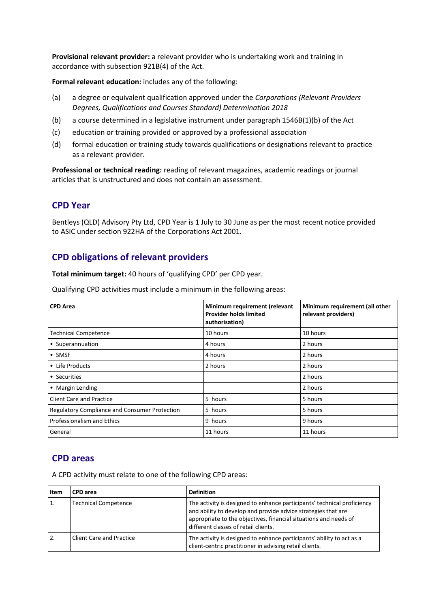**Provisional relevant provider:** a relevant provider who is undertaking work and training in accordance with subsection 921B(4) of the Act.

**Formal relevant education:** includes any of the following:

- (a) a degree or equivalent qualification approved under the *Corporations (Relevant Providers Degrees, Qualifications and Courses Standard) Determination 2018*
- (b) a course determined in a legislative instrument under paragraph 1546B(1)(b) of the Act
- (c) education or training provided or approved by a professional association
- (d) formal education or training study towards qualifications or designations relevant to practice as a relevant provider.

**Professional or technical reading:** reading of relevant magazines, academic readings or journal articles that is unstructured and does not contain an assessment.

### **CPD Year**

Bentleys (QLD) Advisory Pty Ltd, CPD Year is 1 July to 30 June as per the most recent notice provided to ASIC under section 922HA of the Corporations Act 2001.

## **CPD obligations of relevant providers**

**Total minimum target:** 40 hours of 'qualifying CPD' per CPD year.

Qualifying CPD activities must include a minimum in the following areas:

| <b>CPD Area</b>                                      | Minimum requirement (relevant<br><b>Provider holds limited</b><br>authorisation) | Minimum requirement (all other<br>relevant providers) |
|------------------------------------------------------|----------------------------------------------------------------------------------|-------------------------------------------------------|
| <b>Technical Competence</b>                          | 10 hours                                                                         | 10 hours                                              |
| • Superannuation                                     | 4 hours                                                                          | 2 hours                                               |
| $\bullet$ SMSF                                       | 4 hours                                                                          | 2 hours                                               |
| • Life Products                                      | 2 hours                                                                          | 2 hours                                               |
| • Securities                                         |                                                                                  | 2 hours                                               |
| • Margin Lending                                     |                                                                                  | 2 hours                                               |
| <b>Client Care and Practice</b>                      | 5 hours                                                                          | 5 hours                                               |
| <b>Regulatory Compliance and Consumer Protection</b> | 5 hours                                                                          | 5 hours                                               |
| Professionalism and Ethics                           | 9 hours                                                                          | 9 hours                                               |
| General                                              | 11 hours                                                                         | 11 hours                                              |

### **CPD areas**

A CPD activity must relate to one of the following CPD areas:

| Item | <b>CPD</b> area                 | <b>Definition</b>                                                                                                                                                                                                                                    |
|------|---------------------------------|------------------------------------------------------------------------------------------------------------------------------------------------------------------------------------------------------------------------------------------------------|
| 1.   | <b>Technical Competence</b>     | The activity is designed to enhance participants' technical proficiency<br>and ability to develop and provide advice strategies that are<br>appropriate to the objectives, financial situations and needs of<br>different classes of retail clients. |
| 2.   | <b>Client Care and Practice</b> | The activity is designed to enhance participants' ability to act as a<br>client-centric practitioner in advising retail clients.                                                                                                                     |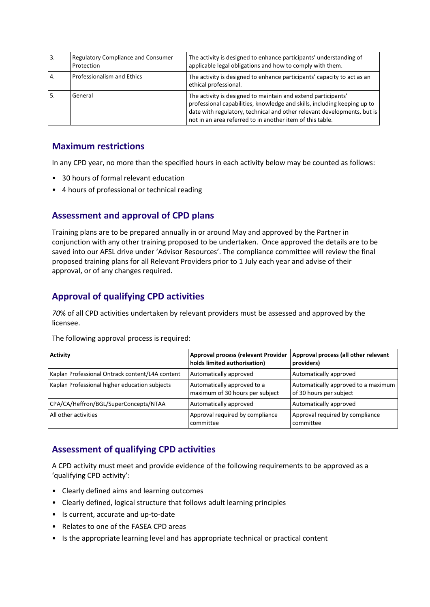| <sup>3.</sup> | <b>Regulatory Compliance and Consumer</b><br>Protection | The activity is designed to enhance participants' understanding of<br>applicable legal obligations and how to comply with them.                                                                                                                                                   |
|---------------|---------------------------------------------------------|-----------------------------------------------------------------------------------------------------------------------------------------------------------------------------------------------------------------------------------------------------------------------------------|
| 4.            | Professionalism and Ethics                              | The activity is designed to enhance participants' capacity to act as an<br>ethical professional.                                                                                                                                                                                  |
| I 5.          | General                                                 | The activity is designed to maintain and extend participants'<br>professional capabilities, knowledge and skills, including keeping up to<br>date with regulatory, technical and other relevant developments, but is<br>not in an area referred to in another item of this table. |

## **Maximum restrictions**

In any CPD year, no more than the specified hours in each activity below may be counted as follows:

- 30 hours of formal relevant education
- 4 hours of professional or technical reading

# **Assessment and approval of CPD plans**

Training plans are to be prepared annually in or around May and approved by the Partner in conjunction with any other training proposed to be undertaken. Once approved the details are to be saved into our AFSL drive under 'Advisor Resources'. The compliance committee will review the final proposed training plans for all Relevant Providers prior to 1 July each year and advise of their approval, or of any changes required.

# **Approval of qualifying CPD activities**

*70*% of all CPD activities undertaken by relevant providers must be assessed and approved by the licensee.

| Activity                                        | <b>Approval process (relevant Provider</b><br>holds limited authorisation) | Approval process (all other relevant<br>providers)             |
|-------------------------------------------------|----------------------------------------------------------------------------|----------------------------------------------------------------|
| Kaplan Professional Ontrack content/L4A content | Automatically approved                                                     | Automatically approved                                         |
| Kaplan Professional higher education subjects   | Automatically approved to a<br>maximum of 30 hours per subject             | Automatically approved to a maximum<br>of 30 hours per subject |
| CPA/CA/Heffron/BGL/SuperConcepts/NTAA           | Automatically approved                                                     | Automatically approved                                         |
| All other activities                            | Approval required by compliance<br>committee                               | Approval required by compliance<br>committee                   |

The following approval process is required:

# **Assessment of qualifying CPD activities**

A CPD activity must meet and provide evidence of the following requirements to be approved as a 'qualifying CPD activity':

- Clearly defined aims and learning outcomes
- Clearly defined, logical structure that follows adult learning principles
- Is current, accurate and up-to-date
- Relates to one of the FASEA CPD areas
- Is the appropriate learning level and has appropriate technical or practical content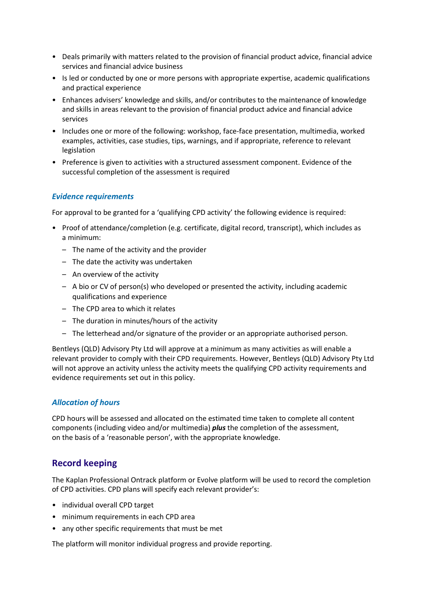- Deals primarily with matters related to the provision of financial product advice, financial advice services and financial advice business
- Is led or conducted by one or more persons with appropriate expertise, academic qualifications and practical experience
- Enhances advisers' knowledge and skills, and/or contributes to the maintenance of knowledge and skills in areas relevant to the provision of financial product advice and financial advice services
- Includes one or more of the following: workshop, face-face presentation, multimedia, worked examples, activities, case studies, tips, warnings, and if appropriate, reference to relevant legislation
- Preference is given to activities with a structured assessment component. Evidence of the successful completion of the assessment is required

#### *Evidence requirements*

For approval to be granted for a 'qualifying CPD activity' the following evidence is required:

- Proof of attendance/completion (e.g. certificate, digital record, transcript), which includes as a minimum:
	- The name of the activity and the provider
	- The date the activity was undertaken
	- An overview of the activity
	- A bio or CV of person(s) who developed or presented the activity, including academic qualifications and experience
	- The CPD area to which it relates
	- The duration in minutes/hours of the activity
	- The letterhead and/or signature of the provider or an appropriate authorised person.

Bentleys (QLD) Advisory Pty Ltd will approve at a minimum as many activities as will enable a relevant provider to comply with their CPD requirements. However, Bentleys (QLD) Advisory Pty Ltd will not approve an activity unless the activity meets the qualifying CPD activity requirements and evidence requirements set out in this policy.

#### *Allocation of hours*

CPD hours will be assessed and allocated on the estimated time taken to complete all content components (including video and/or multimedia) *plus* the completion of the assessment, on the basis of a 'reasonable person', with the appropriate knowledge.

## **Record keeping**

The Kaplan Professional Ontrack platform or Evolve platform will be used to record the completion of CPD activities. CPD plans will specify each relevant provider's:

- individual overall CPD target
- minimum requirements in each CPD area
- any other specific requirements that must be met

The platform will monitor individual progress and provide reporting.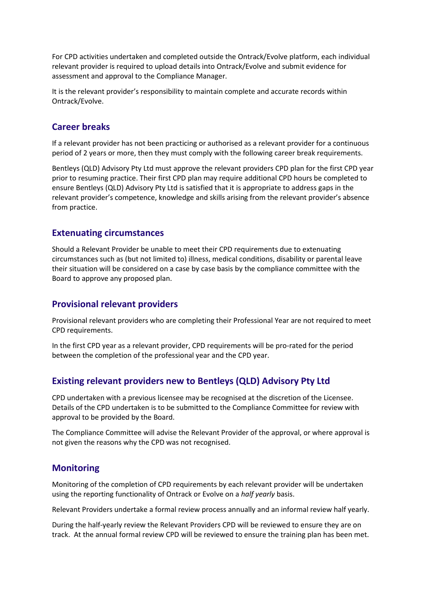For CPD activities undertaken and completed outside the Ontrack/Evolve platform, each individual relevant provider is required to upload details into Ontrack/Evolve and submit evidence for assessment and approval to the Compliance Manager.

It is the relevant provider's responsibility to maintain complete and accurate records within Ontrack/Evolve.

### **Career breaks**

If a relevant provider has not been practicing or authorised as a relevant provider for a continuous period of 2 years or more, then they must comply with the following career break requirements.

Bentleys (QLD) Advisory Pty Ltd must approve the relevant providers CPD plan for the first CPD year prior to resuming practice. Their first CPD plan may require additional CPD hours be completed to ensure Bentleys (QLD) Advisory Pty Ltd is satisfied that it is appropriate to address gaps in the relevant provider's competence, knowledge and skills arising from the relevant provider's absence from practice.

### **Extenuating circumstances**

Should a Relevant Provider be unable to meet their CPD requirements due to extenuating circumstances such as (but not limited to) illness, medical conditions, disability or parental leave their situation will be considered on a case by case basis by the compliance committee with the Board to approve any proposed plan.

### **Provisional relevant providers**

Provisional relevant providers who are completing their Professional Year are not required to meet CPD requirements.

In the first CPD year as a relevant provider, CPD requirements will be pro-rated for the period between the completion of the professional year and the CPD year.

## **Existing relevant providers new to Bentleys (QLD) Advisory Pty Ltd**

CPD undertaken with a previous licensee may be recognised at the discretion of the Licensee. Details of the CPD undertaken is to be submitted to the Compliance Committee for review with approval to be provided by the Board.

The Compliance Committee will advise the Relevant Provider of the approval, or where approval is not given the reasons why the CPD was not recognised.

## **Monitoring**

Monitoring of the completion of CPD requirements by each relevant provider will be undertaken using the reporting functionality of Ontrack or Evolve on a *half yearly* basis.

Relevant Providers undertake a formal review process annually and an informal review half yearly.

During the half-yearly review the Relevant Providers CPD will be reviewed to ensure they are on track. At the annual formal review CPD will be reviewed to ensure the training plan has been met.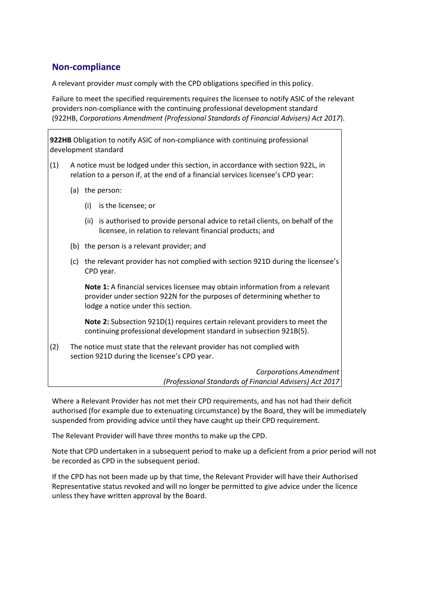## **Non-compliance**

A relevant provider *must* comply with the CPD obligations specified in this policy.

Failure to meet the specified requirements requires the licensee to notify ASIC of the relevant providers non-compliance with the continuing professional development standard (922HB, *Corporations Amendment (Professional Standards of Financial Advisers) Act 2017*).

**922HB** Obligation to notify ASIC of non-compliance with continuing professional development standard

- (1) A notice must be lodged under this section, in accordance with section 922L, in relation to a person if, at the end of a financial services licensee's CPD year:
	- (a) the person:
		- (i) is the licensee; or
		- (ii) is authorised to provide personal advice to retail clients, on behalf of the licensee, in relation to relevant financial products; and
	- (b) the person is a relevant provider; and
	- (c) the relevant provider has not complied with section 921D during the licensee's CPD year.

**Note 1:** A financial services licensee may obtain information from a relevant provider under section 922N for the purposes of determining whether to lodge a notice under this section.

**Note 2:** Subsection 921D(1) requires certain relevant providers to meet the continuing professional development standard in subsection 921B(5).

(2) The notice must state that the relevant provider has not complied with section 921D during the licensee's CPD year.

> *Corporations Amendment (Professional Standards of Financial Advisers) Act 2017*

Where a Relevant Provider has not met their CPD requirements, and has not had their deficit authorised (for example due to extenuating circumstance) by the Board, they will be immediately suspended from providing advice until they have caught up their CPD requirement.

The Relevant Provider will have three months to make up the CPD.

Note that CPD undertaken in a subsequent period to make up a deficient from a prior period will not be recorded as CPD in the subsequent period.

If the CPD has not been made up by that time, the Relevant Provider will have their Authorised Representative status revoked and will no longer be permitted to give advice under the licence unless they have written approval by the Board.